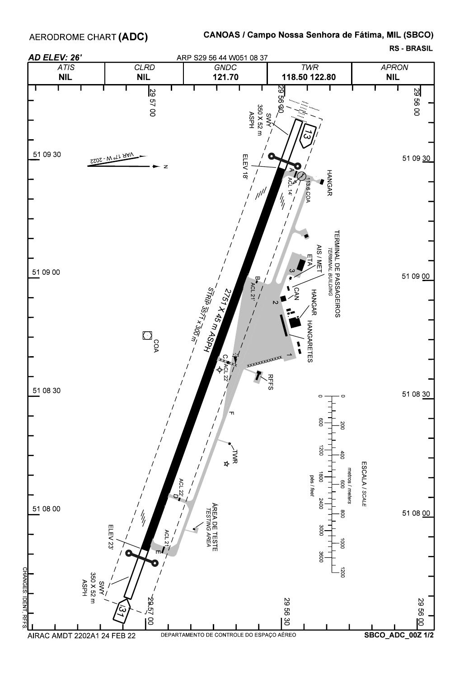AERODROME CHART (ADC)

## CANOAS / Campo Nossa Senhora de Fátima, MIL (SBCO)

**RS BRASIL**